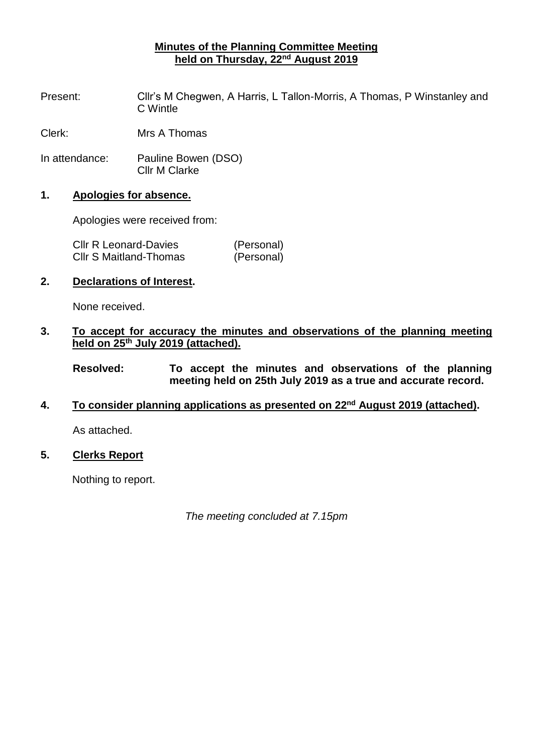# **Minutes of the Planning Committee Meeting held on Thursday, 22<sup>nd</sup> August 2019**

Present: Cllr's M Chegwen, A Harris, L Tallon-Morris, A Thomas, P Winstanley and C Wintle

Clerk: Mrs A Thomas

In attendance: Pauline Bowen (DSO) Cllr M Clarke

## **1. Apologies for absence.**

Apologies were received from:

| <b>CIIr R Leonard-Davies</b>  | (Personal) |
|-------------------------------|------------|
| <b>CIIr S Maitland-Thomas</b> | (Personal) |

# **2. Declarations of Interest.**

None received.

# **3. To accept for accuracy the minutes and observations of the planning meeting held on 25th July 2019 (attached).**

**Resolved: To accept the minutes and observations of the planning meeting held on 25th July 2019 as a true and accurate record.**

## **4. To consider planning applications as presented on 22nd August 2019 (attached).**

As attached.

## **5. Clerks Report**

Nothing to report.

*The meeting concluded at 7.15pm*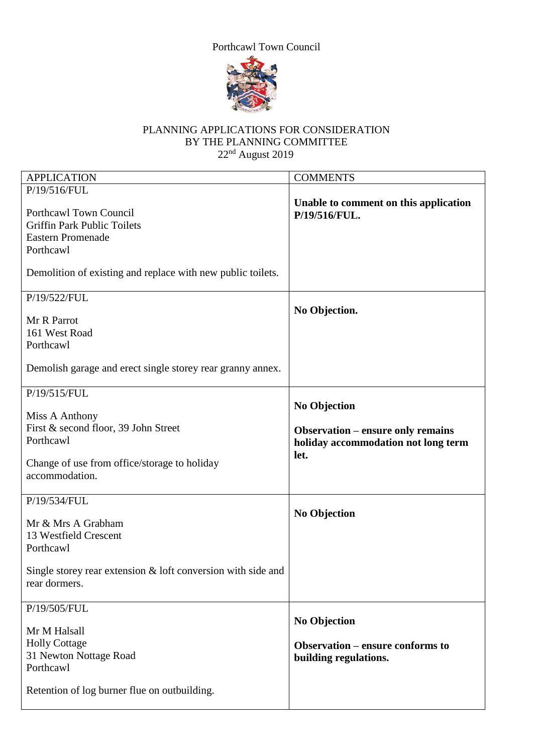Porthcawl Town Council



# PLANNING APPLICATIONS FOR CONSIDERATION BY THE PLANNING COMMITTEE  $22<sup>nd</sup>$  August 2019

| <b>APPLICATION</b>                                                                                                                                                   | <b>COMMENTS</b>                                                                                                |
|----------------------------------------------------------------------------------------------------------------------------------------------------------------------|----------------------------------------------------------------------------------------------------------------|
| P/19/516/FUL                                                                                                                                                         |                                                                                                                |
| Porthcawl Town Council<br><b>Griffin Park Public Toilets</b><br><b>Eastern Promenade</b><br>Porthcawl<br>Demolition of existing and replace with new public toilets. | Unable to comment on this application<br>P/19/516/FUL.                                                         |
|                                                                                                                                                                      |                                                                                                                |
| P/19/522/FUL<br>Mr R Parrot<br>161 West Road<br>Porthcawl                                                                                                            | No Objection.                                                                                                  |
| Demolish garage and erect single storey rear granny annex.                                                                                                           |                                                                                                                |
| P/19/515/FUL                                                                                                                                                         |                                                                                                                |
| Miss A Anthony<br>First & second floor, 39 John Street<br>Porthcawl<br>Change of use from office/storage to holiday<br>accommodation.                                | <b>No Objection</b><br><b>Observation - ensure only remains</b><br>holiday accommodation not long term<br>let. |
| P/19/534/FUL<br>Mr & Mrs A Grabham<br>13 Westfield Crescent<br>Porthcawl<br>Single storey rear extension $&$ loft conversion with side and<br>rear dormers.          | <b>No Objection</b>                                                                                            |
| P/19/505/FUL                                                                                                                                                         |                                                                                                                |
| Mr M Halsall<br><b>Holly Cottage</b><br>31 Newton Nottage Road<br>Porthcawl<br>Retention of log burner flue on outbuilding.                                          | <b>No Objection</b><br><b>Observation – ensure conforms to</b><br>building regulations.                        |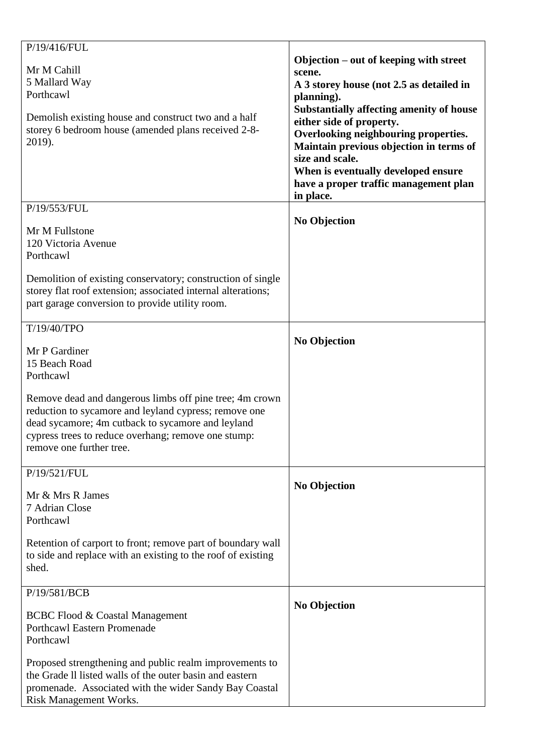| P/19/416/FUL<br>Mr M Cahill<br>5 Mallard Way<br>Porthcawl<br>Demolish existing house and construct two and a half<br>storey 6 bedroom house (amended plans received 2-8-<br>2019).                                                                       | Objection – out of keeping with street<br>scene.<br>A 3 storey house (not 2.5 as detailed in<br>planning).<br><b>Substantially affecting amenity of house</b><br>either side of property.<br>Overlooking neighbouring properties.<br>Maintain previous objection in terms of<br>size and scale.<br>When is eventually developed ensure<br>have a proper traffic management plan<br>in place. |
|----------------------------------------------------------------------------------------------------------------------------------------------------------------------------------------------------------------------------------------------------------|----------------------------------------------------------------------------------------------------------------------------------------------------------------------------------------------------------------------------------------------------------------------------------------------------------------------------------------------------------------------------------------------|
| P/19/553/FUL<br>Mr M Fullstone<br>120 Victoria Avenue<br>Porthcawl                                                                                                                                                                                       | <b>No Objection</b>                                                                                                                                                                                                                                                                                                                                                                          |
| Demolition of existing conservatory; construction of single<br>storey flat roof extension; associated internal alterations;<br>part garage conversion to provide utility room.<br>T/19/40/TPO                                                            |                                                                                                                                                                                                                                                                                                                                                                                              |
| Mr P Gardiner<br>15 Beach Road<br>Porthcawl                                                                                                                                                                                                              | <b>No Objection</b>                                                                                                                                                                                                                                                                                                                                                                          |
| Remove dead and dangerous limbs off pine tree; 4m crown<br>reduction to sycamore and leyland cypress; remove one<br>dead sycamore; 4m cutback to sycamore and leyland<br>cypress trees to reduce overhang; remove one stump:<br>remove one further tree. |                                                                                                                                                                                                                                                                                                                                                                                              |
| P/19/521/FUL<br>Mr & Mrs R James<br>7 Adrian Close<br>Porthcawl                                                                                                                                                                                          | <b>No Objection</b>                                                                                                                                                                                                                                                                                                                                                                          |
| Retention of carport to front; remove part of boundary wall<br>to side and replace with an existing to the roof of existing<br>shed.                                                                                                                     |                                                                                                                                                                                                                                                                                                                                                                                              |
| P/19/581/BCB<br><b>BCBC Flood &amp; Coastal Management</b><br><b>Porthcawl Eastern Promenade</b><br>Porthcawl                                                                                                                                            | <b>No Objection</b>                                                                                                                                                                                                                                                                                                                                                                          |
| Proposed strengthening and public realm improvements to<br>the Grade II listed walls of the outer basin and eastern<br>promenade. Associated with the wider Sandy Bay Coastal<br><b>Risk Management Works.</b>                                           |                                                                                                                                                                                                                                                                                                                                                                                              |